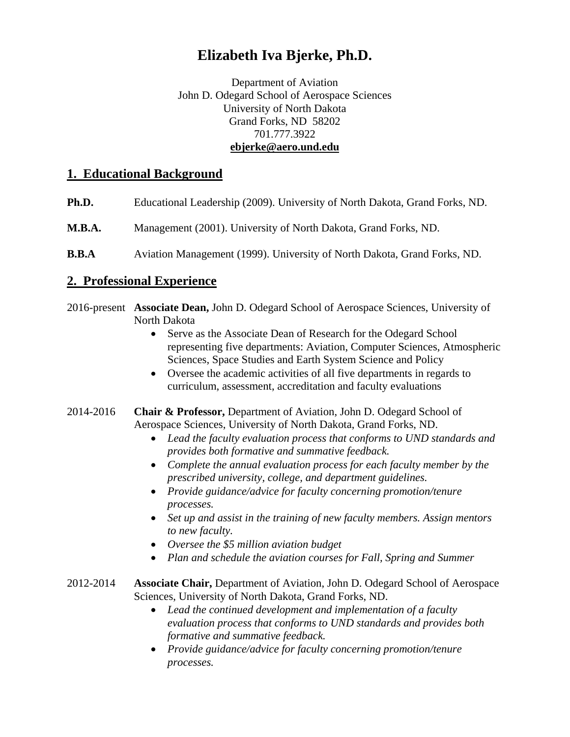# **Elizabeth Iva Bjerke, Ph.D.**

Department of Aviation John D. Odegard School of Aerospace Sciences University of North Dakota Grand Forks, ND 58202 701.777.3922 **ebjerke@aero.und.edu** 

# **1. Educational Background**

- **Ph.D.** Educational Leadership (2009). University of North Dakota, Grand Forks, ND.
- **M.B.A.** Management (2001). University of North Dakota, Grand Forks, ND.
- **B.B.A** Aviation Management (1999). University of North Dakota, Grand Forks, ND.

# **2. Professional Experience**

- 2016-present **Associate Dean,** John D. Odegard School of Aerospace Sciences, University of North Dakota
	- Serve as the Associate Dean of Research for the Odegard School representing five departments: Aviation, Computer Sciences, Atmospheric Sciences, Space Studies and Earth System Science and Policy
	- Oversee the academic activities of all five departments in regards to curriculum, assessment, accreditation and faculty evaluations
- 2014-2016 **Chair & Professor,** Department of Aviation, John D. Odegard School of Aerospace Sciences, University of North Dakota, Grand Forks, ND.
	- *Lead the faculty evaluation process that conforms to UND standards and provides both formative and summative feedback.*
	- *Complete the annual evaluation process for each faculty member by the prescribed university, college, and department guidelines.*
	- *Provide guidance/advice for faculty concerning promotion/tenure processes.*
	- *Set up and assist in the training of new faculty members. Assign mentors to new faculty.*
	- *Oversee the \$5 million aviation budget*
	- *Plan and schedule the aviation courses for Fall, Spring and Summer*
- 2012-2014 **Associate Chair,** Department of Aviation, John D. Odegard School of Aerospace Sciences, University of North Dakota, Grand Forks, ND.
	- *Lead the continued development and implementation of a faculty evaluation process that conforms to UND standards and provides both formative and summative feedback.*
	- *Provide guidance/advice for faculty concerning promotion/tenure processes.*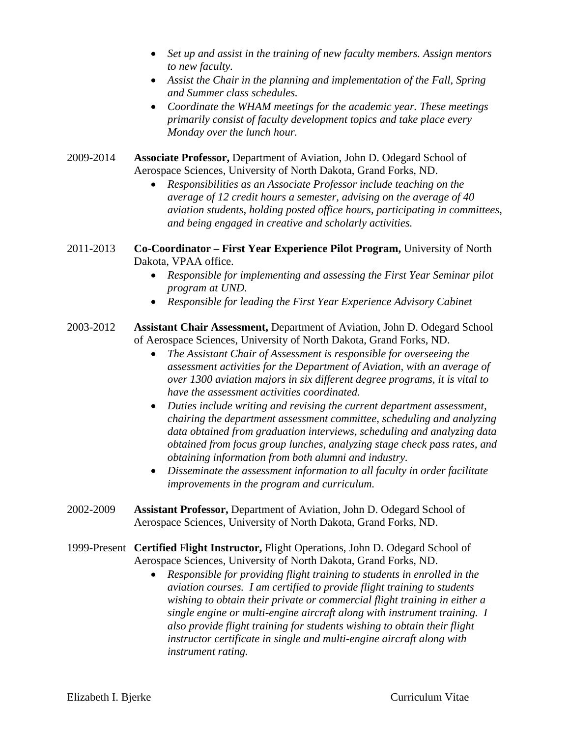- *Set up and assist in the training of new faculty members. Assign mentors to new faculty.*
- *Assist the Chair in the planning and implementation of the Fall, Spring and Summer class schedules.*
- *Coordinate the WHAM meetings for the academic year. These meetings primarily consist of faculty development topics and take place every Monday over the lunch hour.*
- 2009-2014 **Associate Professor,** Department of Aviation, John D. Odegard School of Aerospace Sciences, University of North Dakota, Grand Forks, ND.
	- *Responsibilities as an Associate Professor include teaching on the average of 12 credit hours a semester, advising on the average of 40 aviation students, holding posted office hours, participating in committees, and being engaged in creative and scholarly activities.*
- 2011-2013 **Co-Coordinator First Year Experience Pilot Program,** University of North Dakota, VPAA office.
	- *Responsible for implementing and assessing the First Year Seminar pilot program at UND.*
	- *Responsible for leading the First Year Experience Advisory Cabinet*
- 2003-2012 **Assistant Chair Assessment,** Department of Aviation, John D. Odegard School of Aerospace Sciences, University of North Dakota, Grand Forks, ND.
	- *The Assistant Chair of Assessment is responsible for overseeing the assessment activities for the Department of Aviation, with an average of over 1300 aviation majors in six different degree programs, it is vital to have the assessment activities coordinated.*
	- *Duties include writing and revising the current department assessment, chairing the department assessment committee, scheduling and analyzing data obtained from graduation interviews, scheduling and analyzing data obtained from focus group lunches, analyzing stage check pass rates, and obtaining information from both alumni and industry.*
	- *Disseminate the assessment information to all faculty in order facilitate improvements in the program and curriculum.*
- 2002-2009 **Assistant Professor,** Department of Aviation, John D. Odegard School of Aerospace Sciences, University of North Dakota, Grand Forks, ND.
- 1999-Present **Certified** F**light Instructor,** Flight Operations, John D. Odegard School of Aerospace Sciences, University of North Dakota, Grand Forks, ND.
	- *Responsible for providing flight training to students in enrolled in the aviation courses. I am certified to provide flight training to students wishing to obtain their private or commercial flight training in either a single engine or multi-engine aircraft along with instrument training. I also provide flight training for students wishing to obtain their flight instructor certificate in single and multi-engine aircraft along with instrument rating.*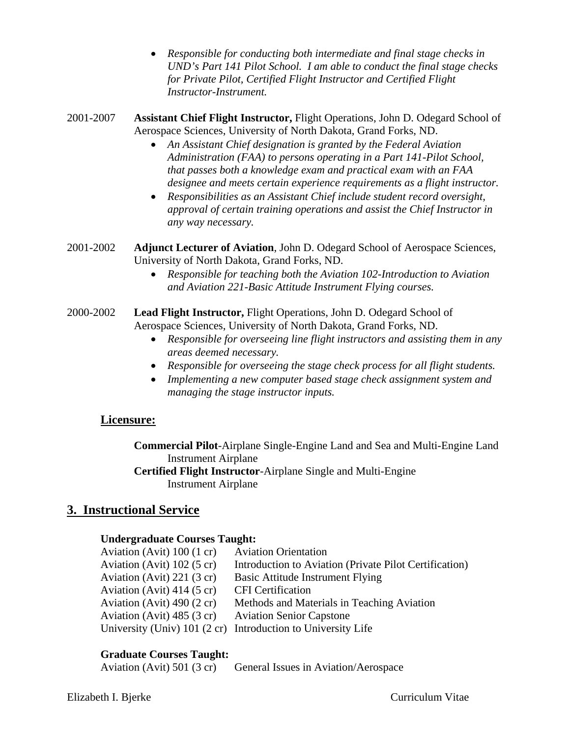- *Responsible for conducting both intermediate and final stage checks in UND's Part 141 Pilot School. I am able to conduct the final stage checks for Private Pilot, Certified Flight Instructor and Certified Flight Instructor-Instrument.*
- 2001-2007 **Assistant Chief Flight Instructor,** Flight Operations, John D. Odegard School of Aerospace Sciences, University of North Dakota, Grand Forks, ND.
	- *An Assistant Chief designation is granted by the Federal Aviation Administration (FAA) to persons operating in a Part 141-Pilot School, that passes both a knowledge exam and practical exam with an FAA designee and meets certain experience requirements as a flight instructor.*
	- *Responsibilities as an Assistant Chief include student record oversight, approval of certain training operations and assist the Chief Instructor in any way necessary.*
- 2001-2002 **Adjunct Lecturer of Aviation**, John D. Odegard School of Aerospace Sciences, University of North Dakota, Grand Forks, ND.
	- *Responsible for teaching both the Aviation 102-Introduction to Aviation and Aviation 221-Basic Attitude Instrument Flying courses.*
- 2000-2002 **Lead Flight Instructor,** Flight Operations, John D. Odegard School of Aerospace Sciences, University of North Dakota, Grand Forks, ND.
	- *Responsible for overseeing line flight instructors and assisting them in any areas deemed necessary.*
	- *Responsible for overseeing the stage check process for all flight students.*
	- *Implementing a new computer based stage check assignment system and managing the stage instructor inputs.*

# **Licensure:**

 **Commercial Pilot**-Airplane Single-Engine Land and Sea and Multi-Engine Land Instrument Airplane

 **Certified Flight Instructor**-Airplane Single and Multi-Engine Instrument Airplane

# **3. Instructional Service**

### **Undergraduate Courses Taught:**

| Aviation (Avit) $100(1 \text{ cr})$ | <b>Aviation Orientation</b>                                  |
|-------------------------------------|--------------------------------------------------------------|
| Aviation (Avit) $102(5 \text{ cr})$ | Introduction to Aviation (Private Pilot Certification)       |
| Aviation (Avit) $221(3 \text{ cr})$ | <b>Basic Attitude Instrument Flying</b>                      |
| Aviation (Avit) $414(5 \text{ cr})$ | <b>CFI</b> Certification                                     |
| Aviation (Avit) $490(2 \text{ cr})$ | Methods and Materials in Teaching Aviation                   |
| Aviation (Avit) $485(3 \text{ cr})$ | <b>Aviation Senior Capstone</b>                              |
|                                     | University (Univ) 101 (2 cr) Introduction to University Life |

### **Graduate Courses Taught:**

| Aviation (Avit) $501$ (3 cr) | General Issues in Aviation/Aerospace |
|------------------------------|--------------------------------------|
|                              |                                      |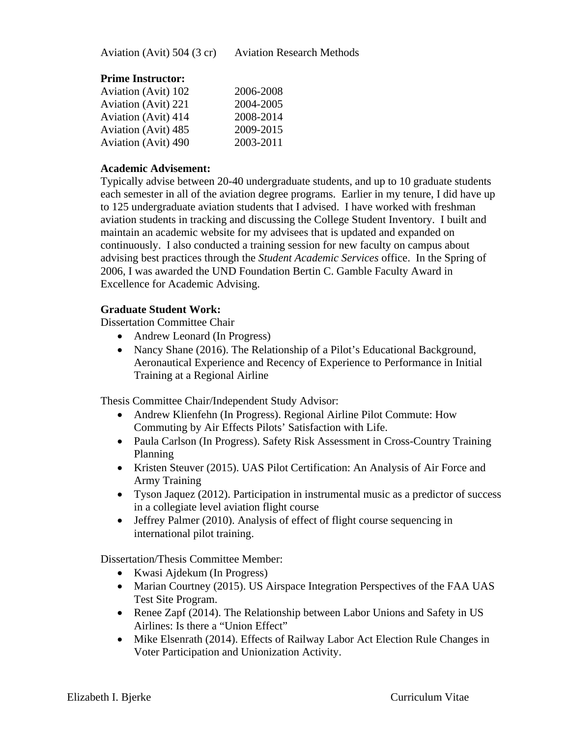### **Prime Instructor:**

| 2006-2008 |
|-----------|
| 2004-2005 |
| 2008-2014 |
| 2009-2015 |
| 2003-2011 |
|           |

### **Academic Advisement:**

Typically advise between 20-40 undergraduate students, and up to 10 graduate students each semester in all of the aviation degree programs. Earlier in my tenure, I did have up to 125 undergraduate aviation students that I advised. I have worked with freshman aviation students in tracking and discussing the College Student Inventory. I built and maintain an academic website for my advisees that is updated and expanded on continuously. I also conducted a training session for new faculty on campus about advising best practices through the *Student Academic Services* office. In the Spring of 2006, I was awarded the UND Foundation Bertin C. Gamble Faculty Award in Excellence for Academic Advising.

### **Graduate Student Work:**

Dissertation Committee Chair

- Andrew Leonard (In Progress)
- Nancy Shane (2016). The Relationship of a Pilot's Educational Background, Aeronautical Experience and Recency of Experience to Performance in Initial Training at a Regional Airline

Thesis Committee Chair/Independent Study Advisor:

- Andrew Klienfehn (In Progress). Regional Airline Pilot Commute: How Commuting by Air Effects Pilots' Satisfaction with Life.
- Paula Carlson (In Progress). Safety Risk Assessment in Cross-Country Training Planning
- Kristen Steuver (2015). UAS Pilot Certification: An Analysis of Air Force and Army Training
- Tyson Jaquez (2012). Participation in instrumental music as a predictor of success in a collegiate level aviation flight course
- Jeffrey Palmer (2010). Analysis of effect of flight course sequencing in international pilot training.

Dissertation/Thesis Committee Member:

- Kwasi Ajdekum (In Progress)
- Marian Courtney (2015). US Airspace Integration Perspectives of the FAA UAS Test Site Program.
- Renee Zapf (2014). The Relationship between Labor Unions and Safety in US Airlines: Is there a "Union Effect"
- Mike Elsenrath (2014). Effects of Railway Labor Act Election Rule Changes in Voter Participation and Unionization Activity.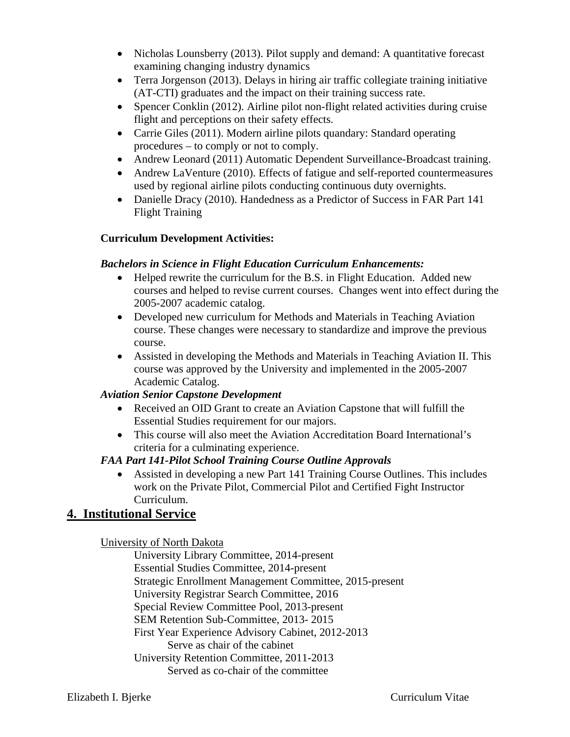- Nicholas Lounsberry (2013). Pilot supply and demand: A quantitative forecast examining changing industry dynamics
- Terra Jorgenson (2013). Delays in hiring air traffic collegiate training initiative (AT-CTI) graduates and the impact on their training success rate.
- Spencer Conklin (2012). Airline pilot non-flight related activities during cruise flight and perceptions on their safety effects.
- Carrie Giles (2011). Modern airline pilots quandary: Standard operating procedures – to comply or not to comply.
- Andrew Leonard (2011) Automatic Dependent Surveillance-Broadcast training.
- Andrew LaVenture (2010). Effects of fatigue and self-reported countermeasures used by regional airline pilots conducting continuous duty overnights.
- Danielle Dracy (2010). Handedness as a Predictor of Success in FAR Part 141 Flight Training

# **Curriculum Development Activities:**

### *Bachelors in Science in Flight Education Curriculum Enhancements:*

- Helped rewrite the curriculum for the B.S. in Flight Education. Added new courses and helped to revise current courses. Changes went into effect during the 2005-2007 academic catalog.
- Developed new curriculum for Methods and Materials in Teaching Aviation course. These changes were necessary to standardize and improve the previous course.
- Assisted in developing the Methods and Materials in Teaching Aviation II. This course was approved by the University and implemented in the 2005-2007 Academic Catalog.

# *Aviation Senior Capstone Development*

- Received an OID Grant to create an Aviation Capstone that will fulfill the Essential Studies requirement for our majors.
- This course will also meet the Aviation Accreditation Board International's criteria for a culminating experience.

# *FAA Part 141-Pilot School Training Course Outline Approvals*

 Assisted in developing a new Part 141 Training Course Outlines. This includes work on the Private Pilot, Commercial Pilot and Certified Fight Instructor Curriculum.

# **4. Institutional Service**

# University of North Dakota

 University Library Committee, 2014-present Essential Studies Committee, 2014-present Strategic Enrollment Management Committee, 2015-present University Registrar Search Committee, 2016 Special Review Committee Pool, 2013-present SEM Retention Sub-Committee, 2013- 2015 First Year Experience Advisory Cabinet, 2012-2013 Serve as chair of the cabinet University Retention Committee, 2011-2013 Served as co-chair of the committee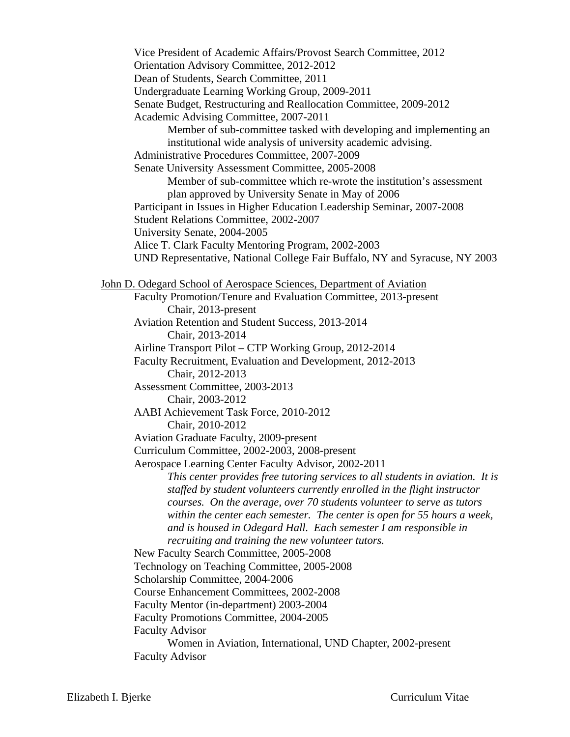Vice President of Academic Affairs/Provost Search Committee, 2012 Orientation Advisory Committee, 2012-2012 Dean of Students, Search Committee, 2011 Undergraduate Learning Working Group, 2009-2011 Senate Budget, Restructuring and Reallocation Committee, 2009-2012 Academic Advising Committee, 2007-2011 Member of sub-committee tasked with developing and implementing an institutional wide analysis of university academic advising. Administrative Procedures Committee, 2007-2009 Senate University Assessment Committee, 2005-2008 Member of sub-committee which re-wrote the institution's assessment plan approved by University Senate in May of 2006 Participant in Issues in Higher Education Leadership Seminar, 2007-2008 Student Relations Committee, 2002-2007 University Senate, 2004-2005 Alice T. Clark Faculty Mentoring Program, 2002-2003 UND Representative, National College Fair Buffalo, NY and Syracuse, NY 2003 John D. Odegard School of Aerospace Sciences, Department of Aviation Faculty Promotion/Tenure and Evaluation Committee, 2013-present Chair, 2013-present Aviation Retention and Student Success, 2013-2014 Chair, 2013-2014 Airline Transport Pilot – CTP Working Group, 2012-2014 Faculty Recruitment, Evaluation and Development, 2012-2013 Chair, 2012-2013 Assessment Committee, 2003-2013 Chair, 2003-2012 AABI Achievement Task Force, 2010-2012 Chair, 2010-2012 Aviation Graduate Faculty, 2009-present Curriculum Committee, 2002-2003, 2008-present Aerospace Learning Center Faculty Advisor, 2002-2011 *This center provides free tutoring services to all students in aviation. It is staffed by student volunteers currently enrolled in the flight instructor courses. On the average, over 70 students volunteer to serve as tutors within the center each semester. The center is open for 55 hours a week, and is housed in Odegard Hall. Each semester I am responsible in recruiting and training the new volunteer tutors.*  New Faculty Search Committee, 2005-2008 Technology on Teaching Committee, 2005-2008 Scholarship Committee, 2004-2006 Course Enhancement Committees, 2002-2008 Faculty Mentor (in-department) 2003-2004 Faculty Promotions Committee, 2004-2005 Faculty Advisor Women in Aviation, International, UND Chapter, 2002-present Faculty Advisor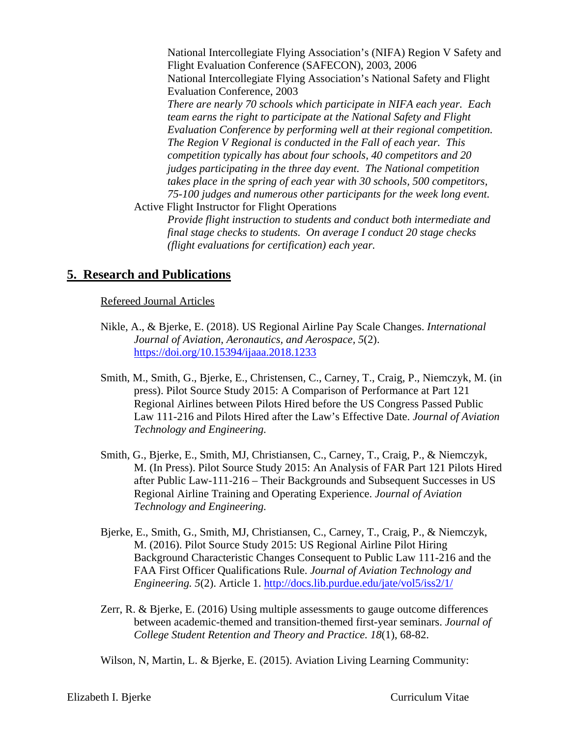National Intercollegiate Flying Association's (NIFA) Region V Safety and Flight Evaluation Conference (SAFECON), 2003, 2006 National Intercollegiate Flying Association's National Safety and Flight Evaluation Conference, 2003 *There are nearly 70 schools which participate in NIFA each year. Each team earns the right to participate at the National Safety and Flight Evaluation Conference by performing well at their regional competition. The Region V Regional is conducted in the Fall of each year. This competition typically has about four schools, 40 competitors and 20 judges participating in the three day event. The National competition takes place in the spring of each year with 30 schools, 500 competitors, 75-100 judges and numerous other participants for the week long event.*  Active Flight Instructor for Flight Operations

*Provide flight instruction to students and conduct both intermediate and final stage checks to students. On average I conduct 20 stage checks (flight evaluations for certification) each year.* 

# **5. Research and Publications**

#### Refereed Journal Articles

- Nikle, A., & Bjerke, E. (2018). US Regional Airline Pay Scale Changes. *International Journal of Aviation, Aeronautics, and Aerospace, 5*(2). https://doi.org/10.15394/ijaaa.2018.1233
- Smith, M., Smith, G., Bjerke, E., Christensen, C., Carney, T., Craig, P., Niemczyk, M. (in press). Pilot Source Study 2015: A Comparison of Performance at Part 121 Regional Airlines between Pilots Hired before the US Congress Passed Public Law 111-216 and Pilots Hired after the Law's Effective Date. *Journal of Aviation Technology and Engineering.*
- Smith, G., Bjerke, E., Smith, MJ, Christiansen, C., Carney, T., Craig, P., & Niemczyk, M. (In Press). Pilot Source Study 2015: An Analysis of FAR Part 121 Pilots Hired after Public Law-111-216 – Their Backgrounds and Subsequent Successes in US Regional Airline Training and Operating Experience. *Journal of Aviation Technology and Engineering.*
- Bjerke, E., Smith, G., Smith, MJ, Christiansen, C., Carney, T., Craig, P., & Niemczyk, M. (2016). Pilot Source Study 2015: US Regional Airline Pilot Hiring Background Characteristic Changes Consequent to Public Law 111-216 and the FAA First Officer Qualifications Rule. *Journal of Aviation Technology and Engineering. 5*(2). Article 1. http://docs.lib.purdue.edu/jate/vol5/iss2/1/
- Zerr, R. & Bjerke, E. (2016) Using multiple assessments to gauge outcome differences between academic-themed and transition-themed first-year seminars. *Journal of College Student Retention and Theory and Practice. 18*(1), 68-82.

Wilson, N, Martin, L. & Bjerke, E. (2015). Aviation Living Learning Community: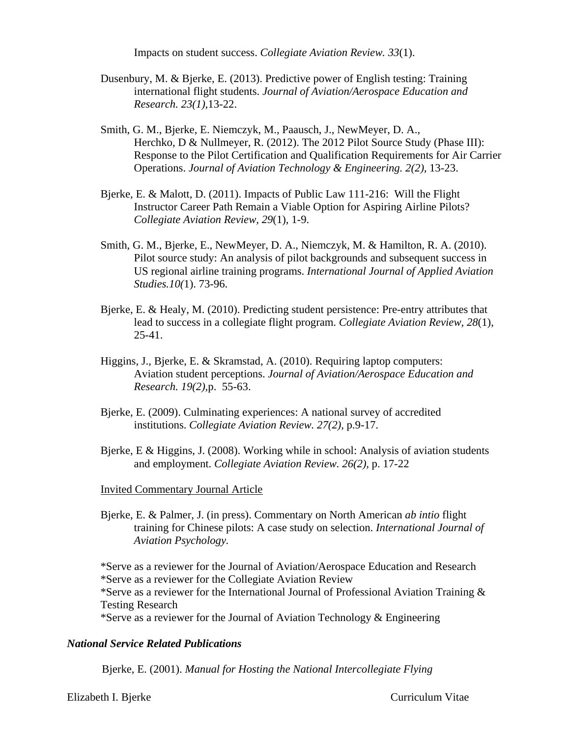Impacts on student success. *Collegiate Aviation Review. 33*(1).

- Dusenbury, M. & Bjerke, E. (2013). Predictive power of English testing: Training international flight students. *Journal of Aviation/Aerospace Education and Research. 23(1),*13-22.
- Smith, G. M., Bjerke, E. Niemczyk, M., Paausch, J., NewMeyer, D. A., Herchko, D & Nullmeyer, R. (2012). The 2012 Pilot Source Study (Phase III): Response to the Pilot Certification and Qualification Requirements for Air Carrier Operations. *Journal of Aviation Technology & Engineering. 2(2),* 13-23.
- Bjerke, E. & Malott, D. (2011). Impacts of Public Law 111-216: Will the Flight Instructor Career Path Remain a Viable Option for Aspiring Airline Pilots? *Collegiate Aviation Review, 29*(1), 1-9.
- Smith, G. M., Bjerke, E., NewMeyer, D. A., Niemczyk, M. & Hamilton, R. A. (2010). Pilot source study: An analysis of pilot backgrounds and subsequent success in US regional airline training programs. *International Journal of Applied Aviation Studies.10(*1). 73-96.
- Bjerke, E. & Healy, M. (2010). Predicting student persistence: Pre-entry attributes that lead to success in a collegiate flight program. *Collegiate Aviation Review, 28*(1), 25-41.
- Higgins, J., Bjerke, E. & Skramstad, A. (2010). Requiring laptop computers: Aviation student perceptions. *Journal of Aviation/Aerospace Education and Research. 19(2),*p.55-63.
- Bjerke, E. (2009). Culminating experiences: A national survey of accredited institutions. *Collegiate Aviation Review. 27(2),* p.9-17.
- Bjerke, E & Higgins, J. (2008). Working while in school: Analysis of aviation students and employment. *Collegiate Aviation Review. 26(2),* p. 17-22

#### Invited Commentary Journal Article

 Bjerke, E. & Palmer, J. (in press). Commentary on North American *ab intio* flight training for Chinese pilots: A case study on selection. *International Journal of Aviation Psychology.* 

\*Serve as a reviewer for the Journal of Aviation/Aerospace Education and Research \*Serve as a reviewer for the Collegiate Aviation Review \*Serve as a reviewer for the International Journal of Professional Aviation Training & Testing Research

\*Serve as a reviewer for the Journal of Aviation Technology & Engineering

#### *National Service Related Publications*

Bjerke, E. (2001). *Manual for Hosting the National Intercollegiate Flying* 

Elizabeth I. Bjerke Curriculum Vitae Curriculum Vitae Curriculum Vitae Curriculum Vitae Curriculum Vitae Curriculum Vitae Curriculum Vitae Curriculum Vitae Curriculum Vitae Curriculum Vitae Curriculum Vitae Curriculum Vita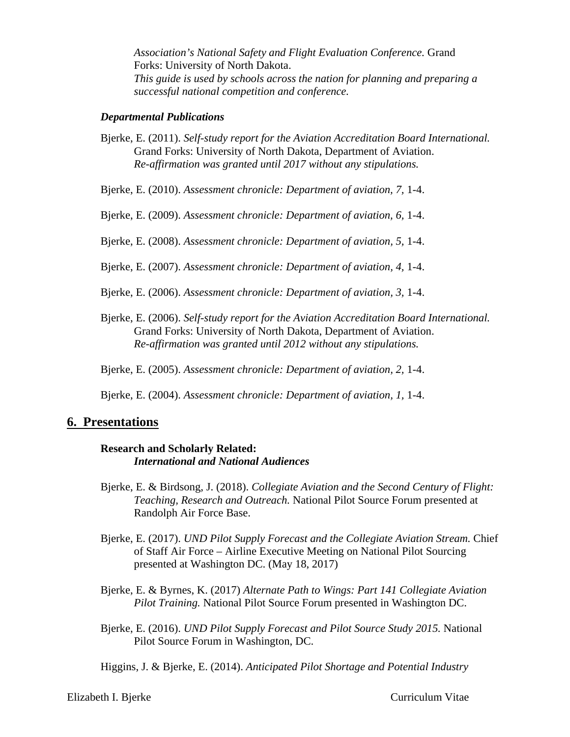*Association's National Safety and Flight Evaluation Conference.* Grand Forks: University of North Dakota. *This guide is used by schools across the nation for planning and preparing a successful national competition and conference.* 

#### *Departmental Publications*

- Bjerke, E. (2011). *Self-study report for the Aviation Accreditation Board International.*  Grand Forks: University of North Dakota, Department of Aviation. *Re-affirmation was granted until 2017 without any stipulations.*
- Bjerke, E. (2010). *Assessment chronicle: Department of aviation, 7,* 1-4.
- Bjerke, E. (2009). *Assessment chronicle: Department of aviation, 6,* 1-4.
- Bjerke, E. (2008). *Assessment chronicle: Department of aviation, 5,* 1-4.
- Bjerke, E. (2007). *Assessment chronicle: Department of aviation, 4,* 1-4.
- Bjerke, E. (2006). *Assessment chronicle: Department of aviation, 3,* 1-4.
- Bjerke, E. (2006). *Self-study report for the Aviation Accreditation Board International.*  Grand Forks: University of North Dakota, Department of Aviation. *Re-affirmation was granted until 2012 without any stipulations.*
- Bjerke, E. (2005). *Assessment chronicle: Department of aviation, 2,* 1-4.
- Bjerke, E. (2004). *Assessment chronicle: Department of aviation, 1,* 1-4.

### **6. Presentations**

#### **Research and Scholarly Related:** *International and National Audiences*

- Bjerke, E. & Birdsong, J. (2018). *Collegiate Aviation and the Second Century of Flight: Teaching, Research and Outreach.* National Pilot Source Forum presented at Randolph Air Force Base.
- Bjerke, E. (2017). *UND Pilot Supply Forecast and the Collegiate Aviation Stream.* Chief of Staff Air Force – Airline Executive Meeting on National Pilot Sourcing presented at Washington DC. (May 18, 2017)
- Bjerke, E. & Byrnes, K. (2017) *Alternate Path to Wings: Part 141 Collegiate Aviation Pilot Training.* National Pilot Source Forum presented in Washington DC.
- Bjerke, E. (2016). *UND Pilot Supply Forecast and Pilot Source Study 2015.* National Pilot Source Forum in Washington, DC.

Higgins, J. & Bjerke, E. (2014). *Anticipated Pilot Shortage and Potential Industry* 

Elizabeth I. Bjerke Curriculum Vitae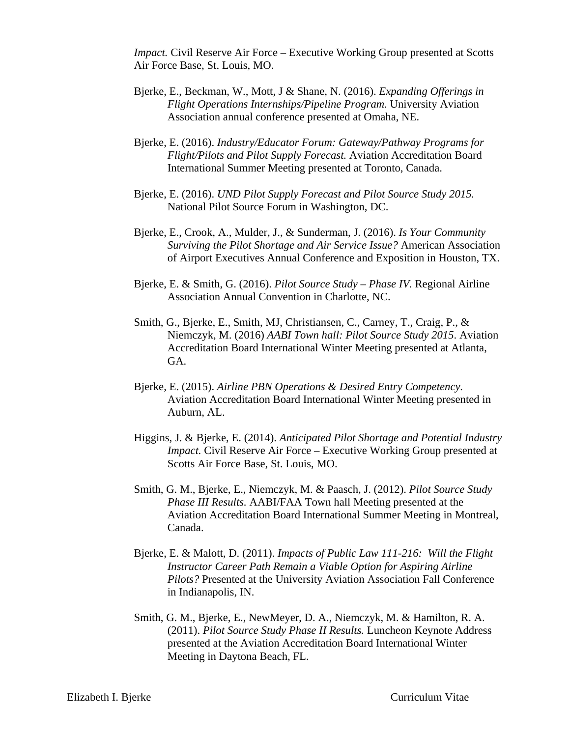*Impact.* Civil Reserve Air Force – Executive Working Group presented at Scotts Air Force Base, St. Louis, MO.

- Bjerke, E., Beckman, W., Mott, J & Shane, N. (2016). *Expanding Offerings in Flight Operations Internships/Pipeline Program.* University Aviation Association annual conference presented at Omaha, NE.
- Bjerke, E. (2016). *Industry/Educator Forum: Gateway/Pathway Programs for Flight/Pilots and Pilot Supply Forecast.* Aviation Accreditation Board International Summer Meeting presented at Toronto, Canada.
- Bjerke, E. (2016). *UND Pilot Supply Forecast and Pilot Source Study 2015.*  National Pilot Source Forum in Washington, DC.
- Bjerke, E., Crook, A., Mulder, J., & Sunderman, J. (2016). *Is Your Community Surviving the Pilot Shortage and Air Service Issue?* American Association of Airport Executives Annual Conference and Exposition in Houston, TX.
- Bjerke, E. & Smith, G. (2016). *Pilot Source Study Phase IV.* Regional Airline Association Annual Convention in Charlotte, NC.
- Smith, G., Bjerke, E., Smith, MJ, Christiansen, C., Carney, T., Craig, P., & Niemczyk, M. (2016) *AABI Town hall: Pilot Source Study 2015*. Aviation Accreditation Board International Winter Meeting presented at Atlanta, GA.
- Bjerke, E. (2015). *Airline PBN Operations & Desired Entry Competency.* Aviation Accreditation Board International Winter Meeting presented in Auburn, AL.
- Higgins, J. & Bjerke, E. (2014). *Anticipated Pilot Shortage and Potential Industry Impact.* Civil Reserve Air Force – Executive Working Group presented at Scotts Air Force Base, St. Louis, MO.
- Smith, G. M., Bjerke, E., Niemczyk, M. & Paasch, J. (2012). *Pilot Source Study Phase III Results.* AABI/FAA Town hall Meeting presented at the Aviation Accreditation Board International Summer Meeting in Montreal, Canada.
- Bjerke, E. & Malott, D. (2011). *Impacts of Public Law 111-216: Will the Flight Instructor Career Path Remain a Viable Option for Aspiring Airline Pilots?* Presented at the University Aviation Association Fall Conference in Indianapolis, IN.
- Smith, G. M., Bjerke, E., NewMeyer, D. A., Niemczyk, M. & Hamilton, R. A. (2011). *Pilot Source Study Phase II Results.* Luncheon Keynote Address presented at the Aviation Accreditation Board International Winter Meeting in Daytona Beach, FL.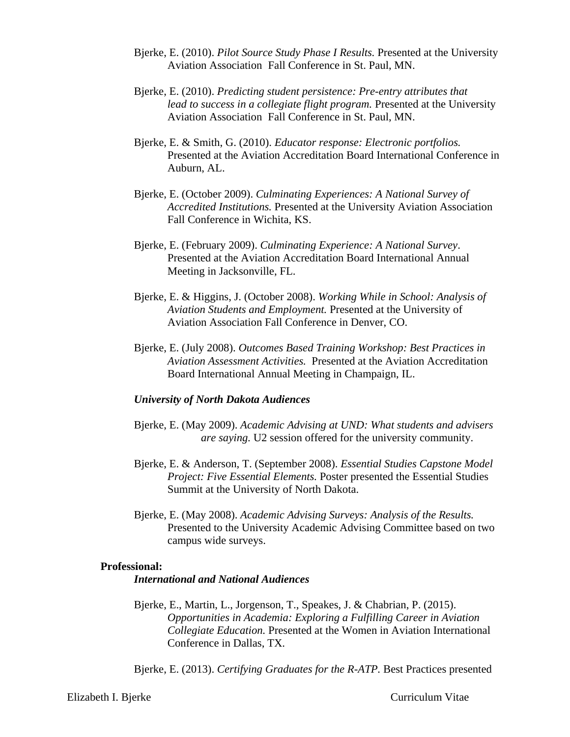- Bjerke, E. (2010). *Pilot Source Study Phase I Results.* Presented at the University Aviation Association Fall Conference in St. Paul, MN.
- Bjerke, E. (2010). *Predicting student persistence: Pre-entry attributes that*  lead to success in a collegiate flight program. Presented at the University Aviation Association Fall Conference in St. Paul, MN.
- Bjerke, E. & Smith, G. (2010). *Educator response: Electronic portfolios.* Presented at the Aviation Accreditation Board International Conference in Auburn, AL.
- Bjerke, E. (October 2009). *Culminating Experiences: A National Survey of Accredited Institutions.* Presented at the University Aviation Association Fall Conference in Wichita, KS.
- Bjerke, E. (February 2009). *Culminating Experience: A National Survey*. Presented at the Aviation Accreditation Board International Annual Meeting in Jacksonville, FL.
- Bjerke, E. & Higgins, J. (October 2008). *Working While in School: Analysis of Aviation Students and Employment.* Presented at the University of Aviation Association Fall Conference in Denver, CO.
- Bjerke, E. (July 2008). *Outcomes Based Training Workshop: Best Practices in Aviation Assessment Activities.* Presented at the Aviation Accreditation Board International Annual Meeting in Champaign, IL.

#### *University of North Dakota Audiences*

- Bjerke, E. (May 2009). *Academic Advising at UND: What students and advisers are saying.* U2 session offered for the university community.
- Bjerke, E. & Anderson, T. (September 2008). *Essential Studies Capstone Model Project: Five Essential Elements.* Poster presented the Essential Studies Summit at the University of North Dakota.
- Bjerke, E. (May 2008). *Academic Advising Surveys: Analysis of the Results.*  Presented to the University Academic Advising Committee based on two campus wide surveys.

#### **Professional:**

#### *International and National Audiences*

Bjerke, E., Martin, L., Jorgenson, T., Speakes, J. & Chabrian, P. (2015). *Opportunities in Academia: Exploring a Fulfilling Career in Aviation Collegiate Education.* Presented at the Women in Aviation International Conference in Dallas, TX.

Bjerke, E. (2013). *Certifying Graduates for the R-ATP.* Best Practices presented

Elizabeth I. Bjerke Curriculum Vitae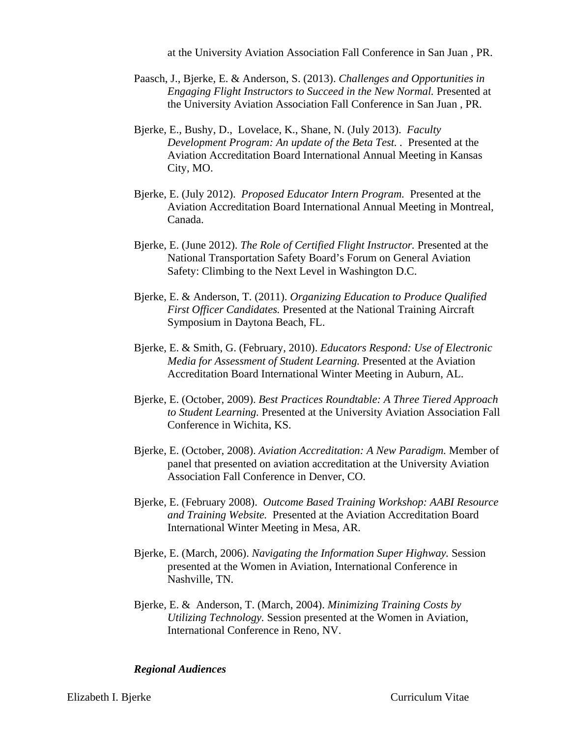at the University Aviation Association Fall Conference in San Juan , PR.

- Paasch, J., Bjerke, E. & Anderson, S. (2013). *Challenges and Opportunities in Engaging Flight Instructors to Succeed in the New Normal.* Presented at the University Aviation Association Fall Conference in San Juan , PR.
- Bjerke, E., Bushy, D., Lovelace, K., Shane, N. (July 2013). *Faculty Development Program: An update of the Beta Test. .* Presented at the Aviation Accreditation Board International Annual Meeting in Kansas City, MO.
- Bjerke, E. (July 2012). *Proposed Educator Intern Program.* Presented at the Aviation Accreditation Board International Annual Meeting in Montreal, Canada.
- Bjerke, E. (June 2012). *The Role of Certified Flight Instructor.* Presented at the National Transportation Safety Board's Forum on General Aviation Safety: Climbing to the Next Level in Washington D.C.
- Bjerke, E. & Anderson, T. (2011). *Organizing Education to Produce Qualified First Officer Candidates.* Presented at the National Training Aircraft Symposium in Daytona Beach, FL.
- Bjerke, E. & Smith, G. (February, 2010). *Educators Respond: Use of Electronic Media for Assessment of Student Learning.* Presented at the Aviation Accreditation Board International Winter Meeting in Auburn, AL.
- Bjerke, E. (October, 2009). *Best Practices Roundtable: A Three Tiered Approach to Student Learning.* Presented at the University Aviation Association Fall Conference in Wichita, KS.
- Bjerke, E. (October, 2008). *Aviation Accreditation: A New Paradigm.* Member of panel that presented on aviation accreditation at the University Aviation Association Fall Conference in Denver, CO.
- Bjerke, E. (February 2008). *Outcome Based Training Workshop: AABI Resource and Training Website.* Presented at the Aviation Accreditation Board International Winter Meeting in Mesa, AR.
- Bjerke, E. (March, 2006). *Navigating the Information Super Highway.* Session presented at the Women in Aviation, International Conference in Nashville, TN.
- Bjerke, E. & Anderson, T. (March, 2004). *Minimizing Training Costs by Utilizing Technology.* Session presented at the Women in Aviation, International Conference in Reno, NV.

#### *Regional Audiences*

Elizabeth I. Bjerke Curriculum Vitae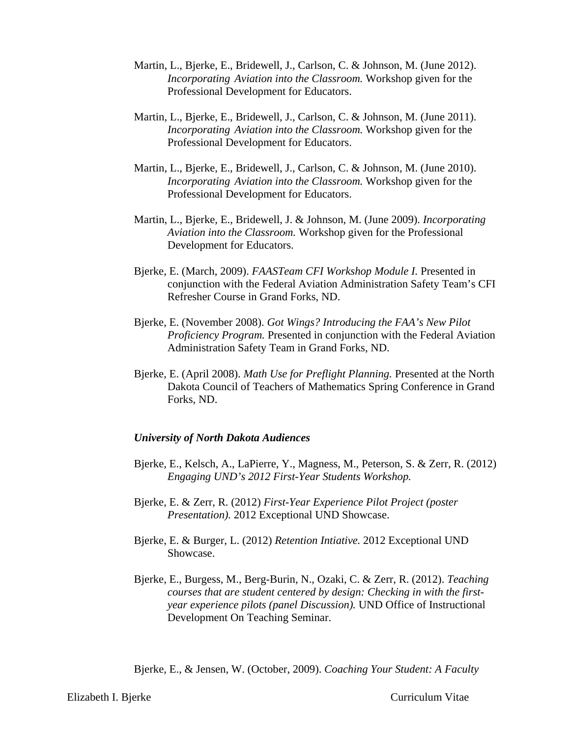- Martin, L., Bjerke, E., Bridewell, J., Carlson, C. & Johnson, M. (June 2012). *Incorporating Aviation into the Classroom.* Workshop given for the Professional Development for Educators.
- Martin, L., Bjerke, E., Bridewell, J., Carlson, C. & Johnson, M. (June 2011). *Incorporating Aviation into the Classroom.* Workshop given for the Professional Development for Educators.
- Martin, L., Bjerke, E., Bridewell, J., Carlson, C. & Johnson, M. (June 2010). *Incorporating Aviation into the Classroom.* Workshop given for the Professional Development for Educators.
- Martin, L., Bjerke, E., Bridewell, J. & Johnson, M. (June 2009). *Incorporating Aviation into the Classroom.* Workshop given for the Professional Development for Educators.
- Bjerke, E. (March, 2009). *FAASTeam CFI Workshop Module I.* Presented in conjunction with the Federal Aviation Administration Safety Team's CFI Refresher Course in Grand Forks, ND.
- Bjerke, E. (November 2008). *Got Wings? Introducing the FAA's New Pilot Proficiency Program.* Presented in conjunction with the Federal Aviation Administration Safety Team in Grand Forks, ND.
- Bjerke, E. (April 2008). *Math Use for Preflight Planning.* Presented at the North Dakota Council of Teachers of Mathematics Spring Conference in Grand Forks, ND.

#### *University of North Dakota Audiences*

- Bjerke, E., Kelsch, A., LaPierre, Y., Magness, M., Peterson, S. & Zerr, R. (2012) *Engaging UND's 2012 First-Year Students Workshop.*
- Bjerke, E. & Zerr, R. (2012) *First-Year Experience Pilot Project (poster Presentation).* 2012 Exceptional UND Showcase.
- Bjerke, E. & Burger, L. (2012) *Retention Intiative.* 2012 Exceptional UND Showcase.
- Bjerke, E., Burgess, M., Berg-Burin, N., Ozaki, C. & Zerr, R. (2012). *Teaching courses that are student centered by design: Checking in with the firstyear experience pilots (panel Discussion).* UND Office of Instructional Development On Teaching Seminar.

Bjerke, E., & Jensen, W. (October, 2009). *Coaching Your Student: A Faculty*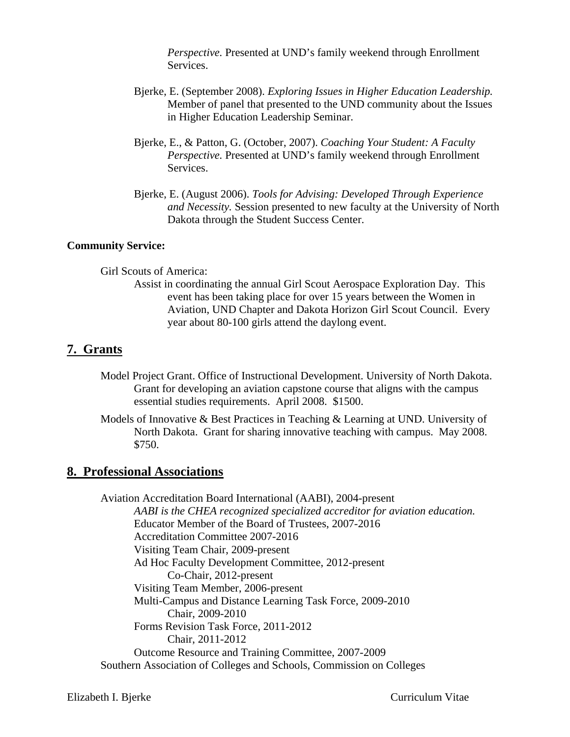*Perspective.* Presented at UND's family weekend through Enrollment Services.

- Bjerke, E. (September 2008). *Exploring Issues in Higher Education Leadership.*  Member of panel that presented to the UND community about the Issues in Higher Education Leadership Seminar.
- Bjerke, E., & Patton, G. (October, 2007). *Coaching Your Student: A Faculty Perspective.* Presented at UND's family weekend through Enrollment Services.
- Bjerke, E. (August 2006). *Tools for Advising: Developed Through Experience and Necessity.* Session presented to new faculty at the University of North Dakota through the Student Success Center.

#### **Community Service:**

Girl Scouts of America:

Assist in coordinating the annual Girl Scout Aerospace Exploration Day. This event has been taking place for over 15 years between the Women in Aviation, UND Chapter and Dakota Horizon Girl Scout Council. Every year about 80-100 girls attend the daylong event.

# **7. Grants**

- Model Project Grant. Office of Instructional Development. University of North Dakota. Grant for developing an aviation capstone course that aligns with the campus essential studies requirements. April 2008. \$1500.
- Models of Innovative & Best Practices in Teaching & Learning at UND. University of North Dakota. Grant for sharing innovative teaching with campus. May 2008. \$750.

### **8. Professional Associations**

Aviation Accreditation Board International (AABI), 2004-present  *AABI is the CHEA recognized specialized accreditor for aviation education.*  Educator Member of the Board of Trustees, 2007-2016 Accreditation Committee 2007-2016 Visiting Team Chair, 2009-present Ad Hoc Faculty Development Committee, 2012-present Co-Chair, 2012-present Visiting Team Member, 2006-present Multi-Campus and Distance Learning Task Force, 2009-2010 Chair, 2009-2010 Forms Revision Task Force, 2011-2012 Chair, 2011-2012 Outcome Resource and Training Committee, 2007-2009 Southern Association of Colleges and Schools, Commission on Colleges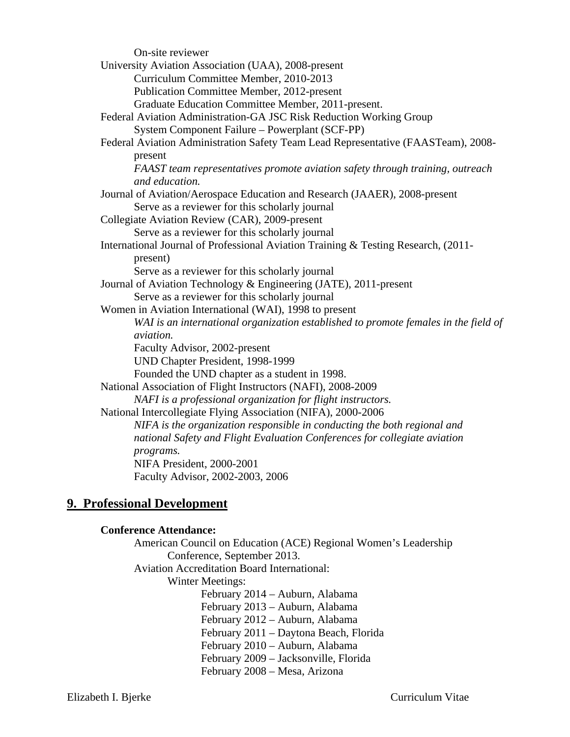| On-site reviewer                                                                                |
|-------------------------------------------------------------------------------------------------|
| University Aviation Association (UAA), 2008-present                                             |
| Curriculum Committee Member, 2010-2013                                                          |
| Publication Committee Member, 2012-present                                                      |
| Graduate Education Committee Member, 2011-present.                                              |
| Federal Aviation Administration-GA JSC Risk Reduction Working Group                             |
| System Component Failure – Powerplant (SCF-PP)                                                  |
| Federal Aviation Administration Safety Team Lead Representative (FAASTeam), 2008-               |
| present                                                                                         |
| FAAST team representatives promote aviation safety through training, outreach<br>and education. |
| Journal of Aviation/Aerospace Education and Research (JAAER), 2008-present                      |
| Serve as a reviewer for this scholarly journal                                                  |
| Collegiate Aviation Review (CAR), 2009-present                                                  |
| Serve as a reviewer for this scholarly journal                                                  |
| International Journal of Professional Aviation Training & Testing Research, (2011-              |
| present)                                                                                        |
| Serve as a reviewer for this scholarly journal                                                  |
| Journal of Aviation Technology & Engineering (JATE), 2011-present                               |
| Serve as a reviewer for this scholarly journal                                                  |
| Women in Aviation International (WAI), 1998 to present                                          |
| WAI is an international organization established to promote females in the field of             |
| aviation.                                                                                       |
| Faculty Advisor, 2002-present                                                                   |
| UND Chapter President, 1998-1999                                                                |
| Founded the UND chapter as a student in 1998.                                                   |
| National Association of Flight Instructors (NAFI), 2008-2009                                    |
| NAFI is a professional organization for flight instructors.                                     |
| National Intercollegiate Flying Association (NIFA), 2000-2006                                   |
| NIFA is the organization responsible in conducting the both regional and                        |
| national Safety and Flight Evaluation Conferences for collegiate aviation                       |
| programs.                                                                                       |
| NIFA President, 2000-2001                                                                       |
| Faculty Advisor, 2002-2003, 2006                                                                |

# **9. Professional Development**

### **Conference Attendance:**

American Council on Education (ACE) Regional Women's Leadership Conference, September 2013.

Aviation Accreditation Board International:

Winter Meetings:

February 2014 – Auburn, Alabama February 2013 – Auburn, Alabama February 2012 – Auburn, Alabama February 2011 – Daytona Beach, Florida February 2010 – Auburn, Alabama February 2009 – Jacksonville, Florida February 2008 – Mesa, Arizona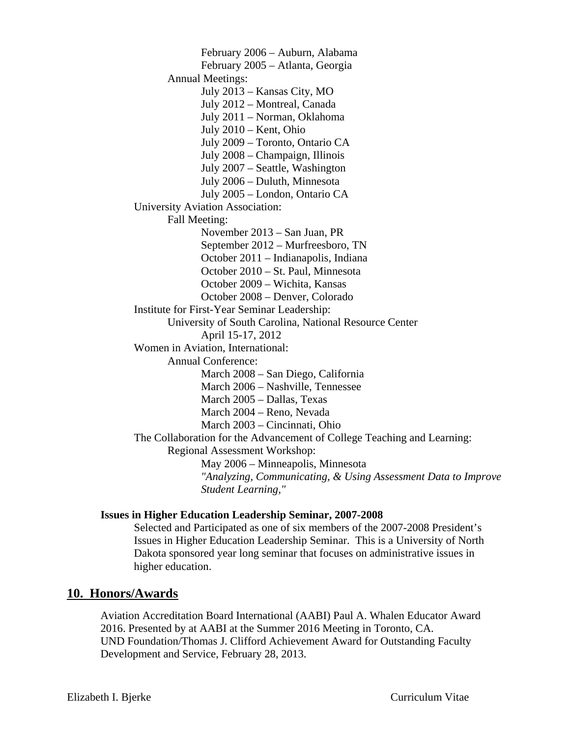February 2006 – Auburn, Alabama February 2005 – Atlanta, Georgia Annual Meetings: July 2013 – Kansas City, MO July 2012 – Montreal, Canada July 2011 – Norman, Oklahoma July 2010 – Kent, Ohio July 2009 – Toronto, Ontario CA July 2008 – Champaign, Illinois July 2007 – Seattle, Washington July 2006 – Duluth, Minnesota July 2005 – London, Ontario CA University Aviation Association: Fall Meeting: November 2013 – San Juan, PR September 2012 – Murfreesboro, TN October 2011 – Indianapolis, Indiana October 2010 – St. Paul, Minnesota October 2009 – Wichita, Kansas October 2008 – Denver, Colorado Institute for First-Year Seminar Leadership: University of South Carolina, National Resource Center April 15-17, 2012 Women in Aviation, International: Annual Conference: March 2008 – San Diego, California March 2006 – Nashville, Tennessee March 2005 – Dallas, Texas March 2004 – Reno, Nevada March 2003 – Cincinnati, Ohio The Collaboration for the Advancement of College Teaching and Learning: Regional Assessment Workshop: May 2006 – Minneapolis, Minnesota *"Analyzing, Communicating, & Using Assessment Data to Improve Student Learning,"* 

### **Issues in Higher Education Leadership Seminar, 2007-2008**

Selected and Participated as one of six members of the 2007-2008 President's Issues in Higher Education Leadership Seminar. This is a University of North Dakota sponsored year long seminar that focuses on administrative issues in higher education.

### **10. Honors/Awards**

Aviation Accreditation Board International (AABI) Paul A. Whalen Educator Award 2016. Presented by at AABI at the Summer 2016 Meeting in Toronto, CA. UND Foundation/Thomas J. Clifford Achievement Award for Outstanding Faculty Development and Service, February 28, 2013.